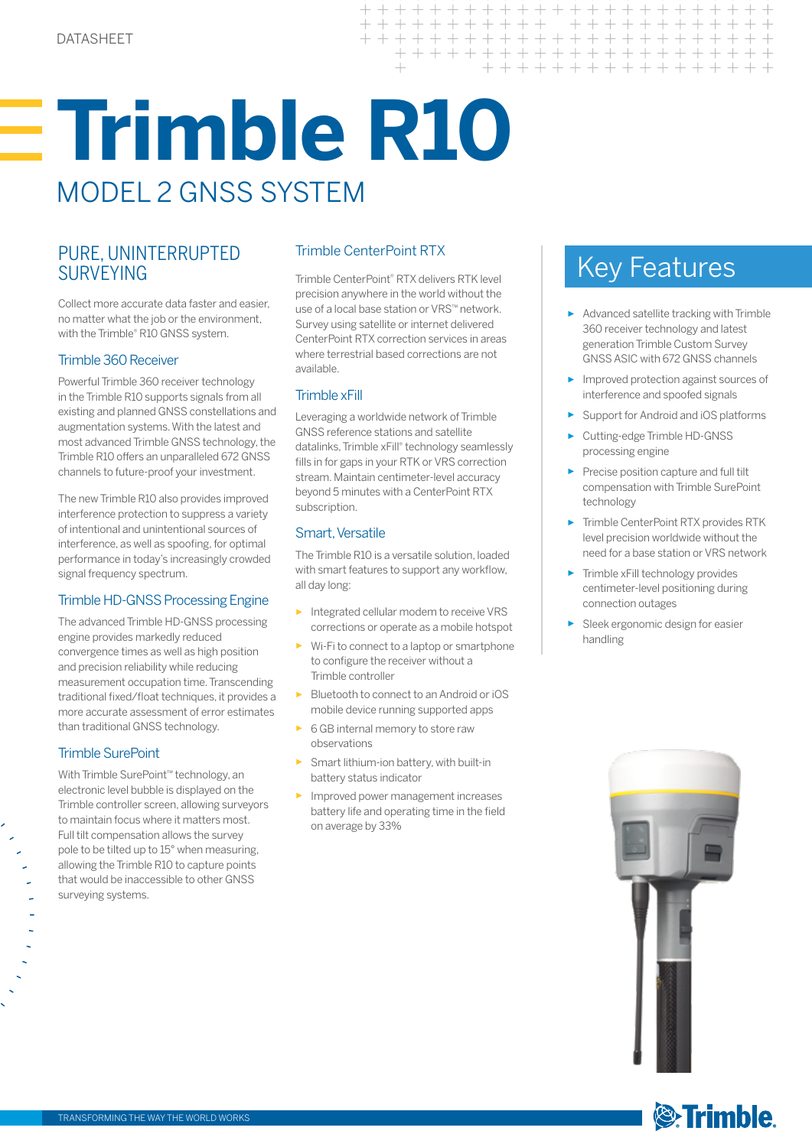# **Trimble R10**  MODEL 2 GNSS SYSTEM

### PURE, UNINTERRUPTED SURVEYING

Collect more accurate data faster and easier, no matter what the job or the environment, with the Trimble® R10 GNSS system.

#### Trimble 360 Receiver

Powerful Trimble 360 receiver technology in the Trimble R10 supports signals from all existing and planned GNSS constellations and augmentation systems. With the latest and most advanced Trimble GNSS technology, the Trimble R10 offers an unparalleled 672 GNSS channels to future-proof your investment.

The new Trimble R10 also provides improved interference protection to suppress a variety of intentional and unintentional sources of interference, as well as spoofing, for optimal performance in today's increasingly crowded signal frequency spectrum.

#### Trimble HD-GNSS Processing Engine

The advanced Trimble HD-GNSS processing engine provides markedly reduced convergence times as well as high position and precision reliability while reducing measurement occupation time. Transcending traditional fixed/float techniques, it provides a more accurate assessment of error estimates than traditional GNSS technology.

#### Trimble SurePoint

With Trimble SurePoint™ technology, an electronic level bubble is displayed on the Trimble controller screen, allowing surveyors to maintain focus where it matters most. Full tilt compensation allows the survey pole to be tilted up to 15° when measuring, allowing the Trimble R10 to capture points that would be inaccessible to other GNSS surveying systems.

#### Trimble CenterPoint RTX

Trimble CenterPoint® RTX delivers RTK level precision anywhere in the world without the use of a local base station or VRS™ network. Survey using satellite or internet delivered CenterPoint RTX correction services in areas where terrestrial based corrections are not available.

 $+ + +$ 

 $+ + +$ 

 $\pm$ 

 $++ +$ + + + + + + + + + + + + + + + + + + + +

+ + + + + + + + + + + + + + + + +

+ + + + + + + + + + + + + + +

#### Trimble xFill

Leveraging a worldwide network of Trimble GNSS reference stations and satellite datalinks, Trimble xFill® technology seamlessly fills in for gaps in your RTK or VRS correction stream. Maintain centimeter-level accuracy beyond 5 minutes with a CenterPoint RTX subscription.

#### Smart, Versatile

The Trimble R10 is a versatile solution, loaded with smart features to support any workflow, all day long:

- Integrated cellular modem to receive VRS corrections or operate as a mobile hotspot
- Wi-Fi to connect to a laptop or smartphone to configure the receiver without a Trimble controller
- Bluetooth to connect to an Android or iOS mobile device running supported apps
- ► 6 GB internal memory to store raw observations
- Smart lithium-ion battery, with built-in battery status indicator
- Improved power management increases battery life and operating time in the field on average by 33%

## Key Features

- ► Advanced satellite tracking with Trimble 360 receiver technology and latest generation Trimble Custom Survey GNSS ASIC with 672 GNSS channels
- Improved protection against sources of interference and spoofed signals
- ► Support for Android and iOS platforms
- ► Cutting-edge Trimble HD-GNSS processing engine
- ► Precise position capture and full tilt compensation with Trimble SurePoint technology
- ► Trimble CenterPoint RTX provides RTK level precision worldwide without the need for a base station or VRS network
- ► Trimble xFill technology provides centimeter-level positioning during connection outages
- Sleek ergonomic design for easier handling



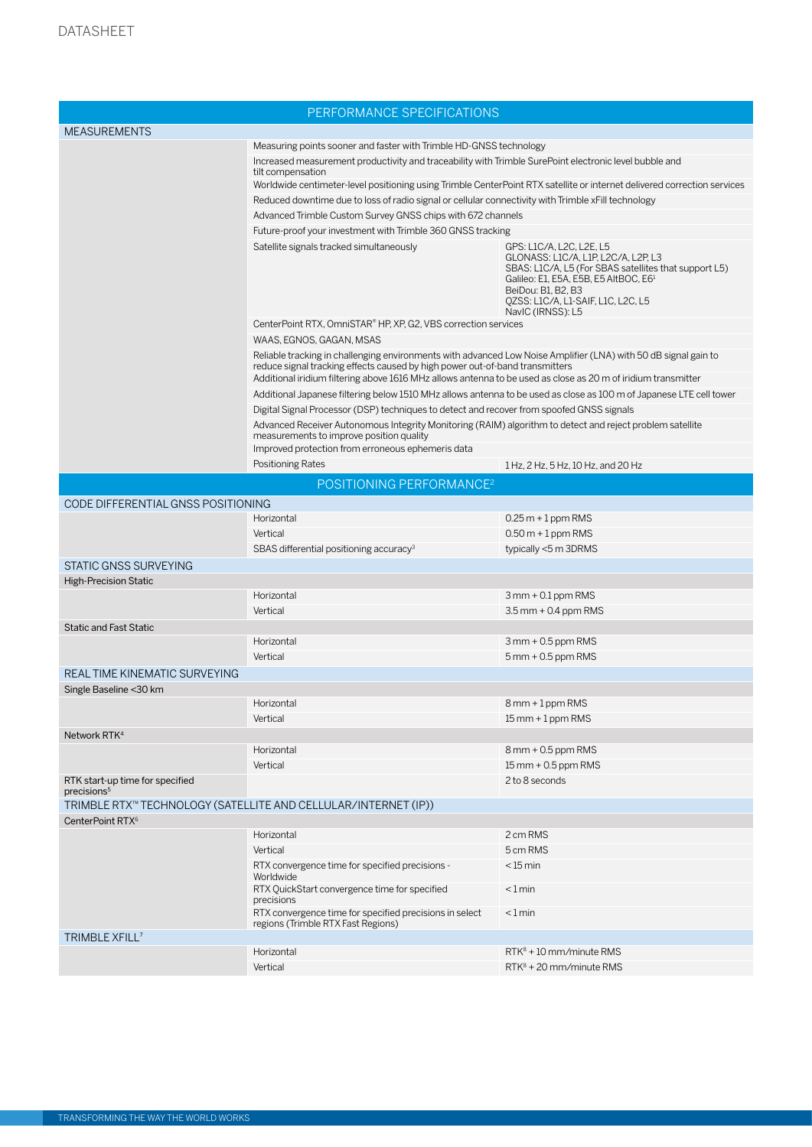| PERFORMANCE SPECIFICATIONS                                 |                                                                                                                                                                                                 |                                                                                                                                                                                                                                                                |  |
|------------------------------------------------------------|-------------------------------------------------------------------------------------------------------------------------------------------------------------------------------------------------|----------------------------------------------------------------------------------------------------------------------------------------------------------------------------------------------------------------------------------------------------------------|--|
| <b>MEASUREMENTS</b>                                        |                                                                                                                                                                                                 |                                                                                                                                                                                                                                                                |  |
|                                                            | Measuring points sooner and faster with Trimble HD-GNSS technology                                                                                                                              |                                                                                                                                                                                                                                                                |  |
|                                                            | Increased measurement productivity and traceability with Trimble SurePoint electronic level bubble and<br>tilt compensation                                                                     |                                                                                                                                                                                                                                                                |  |
|                                                            | Worldwide centimeter-level positioning using Trimble CenterPoint RTX satellite or internet delivered correction services                                                                        |                                                                                                                                                                                                                                                                |  |
|                                                            | Reduced downtime due to loss of radio signal or cellular connectivity with Trimble xFill technology                                                                                             |                                                                                                                                                                                                                                                                |  |
|                                                            | Advanced Trimble Custom Survey GNSS chips with 672 channels                                                                                                                                     |                                                                                                                                                                                                                                                                |  |
|                                                            | Future-proof your investment with Trimble 360 GNSS tracking                                                                                                                                     |                                                                                                                                                                                                                                                                |  |
|                                                            | Satellite signals tracked simultaneously                                                                                                                                                        | GPS: L1C/A, L2C, L2E, L5<br>GLONASS: L1C/A, L1P, L2C/A, L2P, L3<br>SBAS: L1C/A, L5 (For SBAS satellites that support L5)<br>Galileo: E1, E5A, E5B, E5 AltBOC, E6 <sup>1</sup><br>BeiDou: B1, B2, B3<br>QZSS: L1C/A, L1-SAIF, L1C, L2C, L5<br>NaviC (IRNSS): L5 |  |
|                                                            | CenterPoint RTX, OmniSTAR® HP, XP, G2, VBS correction services                                                                                                                                  |                                                                                                                                                                                                                                                                |  |
|                                                            | WAAS, EGNOS, GAGAN, MSAS                                                                                                                                                                        |                                                                                                                                                                                                                                                                |  |
|                                                            | Reliable tracking in challenging environments with advanced Low Noise Amplifier (LNA) with 50 dB signal gain to<br>reduce signal tracking effects caused by high power out-of-band transmitters |                                                                                                                                                                                                                                                                |  |
|                                                            | Additional iridium filtering above 1616 MHz allows antenna to be used as close as 20 m of iridium transmitter                                                                                   |                                                                                                                                                                                                                                                                |  |
|                                                            | Additional Japanese filtering below 1510 MHz allows antenna to be used as close as 100 m of Japanese LTE cell tower                                                                             |                                                                                                                                                                                                                                                                |  |
|                                                            | Digital Signal Processor (DSP) techniques to detect and recover from spoofed GNSS signals                                                                                                       |                                                                                                                                                                                                                                                                |  |
|                                                            | Advanced Receiver Autonomous Integrity Monitoring (RAIM) algorithm to detect and reject problem satellite<br>measurements to improve position quality                                           |                                                                                                                                                                                                                                                                |  |
|                                                            | Improved protection from erroneous ephemeris data<br>Positioning Rates                                                                                                                          |                                                                                                                                                                                                                                                                |  |
|                                                            |                                                                                                                                                                                                 | 1 Hz, 2 Hz, 5 Hz, 10 Hz, and 20 Hz                                                                                                                                                                                                                             |  |
|                                                            | POSITIONING PERFORMANCE <sup>2</sup>                                                                                                                                                            |                                                                                                                                                                                                                                                                |  |
| CODE DIFFERENTIAL GNSS POSITIONING                         |                                                                                                                                                                                                 |                                                                                                                                                                                                                                                                |  |
|                                                            | Horizontal                                                                                                                                                                                      | $0.25 m + 1$ ppm RMS                                                                                                                                                                                                                                           |  |
|                                                            | Vertical                                                                                                                                                                                        | $0.50$ m + 1 ppm RMS                                                                                                                                                                                                                                           |  |
|                                                            | SBAS differential positioning accuracy <sup>3</sup>                                                                                                                                             | typically <5 m 3DRMS                                                                                                                                                                                                                                           |  |
| STATIC GNSS SURVEYING<br><b>High-Precision Static</b>      |                                                                                                                                                                                                 |                                                                                                                                                                                                                                                                |  |
|                                                            | Horizontal                                                                                                                                                                                      | $3$ mm + 0.1 ppm RMS                                                                                                                                                                                                                                           |  |
|                                                            | Vertical                                                                                                                                                                                        | $3.5$ mm + 0.4 ppm RMS                                                                                                                                                                                                                                         |  |
| <b>Static and Fast Static</b>                              |                                                                                                                                                                                                 |                                                                                                                                                                                                                                                                |  |
|                                                            | Horizontal                                                                                                                                                                                      | $3$ mm + 0.5 ppm RMS                                                                                                                                                                                                                                           |  |
|                                                            | Vertical                                                                                                                                                                                        | $5$ mm $+$ 0.5 ppm RMS                                                                                                                                                                                                                                         |  |
| REAL TIME KINEMATIC SURVEYING                              |                                                                                                                                                                                                 |                                                                                                                                                                                                                                                                |  |
| Single Baseline < 30 km                                    |                                                                                                                                                                                                 |                                                                                                                                                                                                                                                                |  |
|                                                            | Horizontal                                                                                                                                                                                      | 8 mm + 1 ppm RMS                                                                                                                                                                                                                                               |  |
|                                                            | Vertical                                                                                                                                                                                        | $15$ mm + 1 ppm RMS                                                                                                                                                                                                                                            |  |
| Network RTK <sup>4</sup>                                   |                                                                                                                                                                                                 |                                                                                                                                                                                                                                                                |  |
|                                                            | Horizontal                                                                                                                                                                                      | 8 mm + 0.5 ppm RMS                                                                                                                                                                                                                                             |  |
|                                                            | Vertical                                                                                                                                                                                        | 15 mm + 0.5 ppm RMS                                                                                                                                                                                                                                            |  |
| RTK start-up time for specified<br>precisions <sup>5</sup> |                                                                                                                                                                                                 | 2 to 8 seconds                                                                                                                                                                                                                                                 |  |
|                                                            | TRIMBLE RTX™ TECHNOLOGY (SATELLITE AND CELLULAR/INTERNET (IP))                                                                                                                                  |                                                                                                                                                                                                                                                                |  |
| CenterPoint RTX <sup>6</sup>                               |                                                                                                                                                                                                 |                                                                                                                                                                                                                                                                |  |
|                                                            | Horizontal                                                                                                                                                                                      | 2 cm RMS                                                                                                                                                                                                                                                       |  |
|                                                            | Vertical                                                                                                                                                                                        | 5 cm RMS                                                                                                                                                                                                                                                       |  |
|                                                            | RTX convergence time for specified precisions -<br>Worldwide                                                                                                                                    | $<$ 15 min                                                                                                                                                                                                                                                     |  |
|                                                            | RTX QuickStart convergence time for specified<br>precisions                                                                                                                                     | $< 1$ min                                                                                                                                                                                                                                                      |  |
|                                                            | RTX convergence time for specified precisions in select<br>regions (Trimble RTX Fast Regions)                                                                                                   | $< 1$ min                                                                                                                                                                                                                                                      |  |
| TRIMBLE XFILL <sup>7</sup>                                 |                                                                                                                                                                                                 |                                                                                                                                                                                                                                                                |  |
|                                                            | Horizontal                                                                                                                                                                                      | $RTK^8 + 10$ mm/minute RMS                                                                                                                                                                                                                                     |  |
|                                                            | Vertical                                                                                                                                                                                        | $RTK^8 + 20$ mm/minute RMS                                                                                                                                                                                                                                     |  |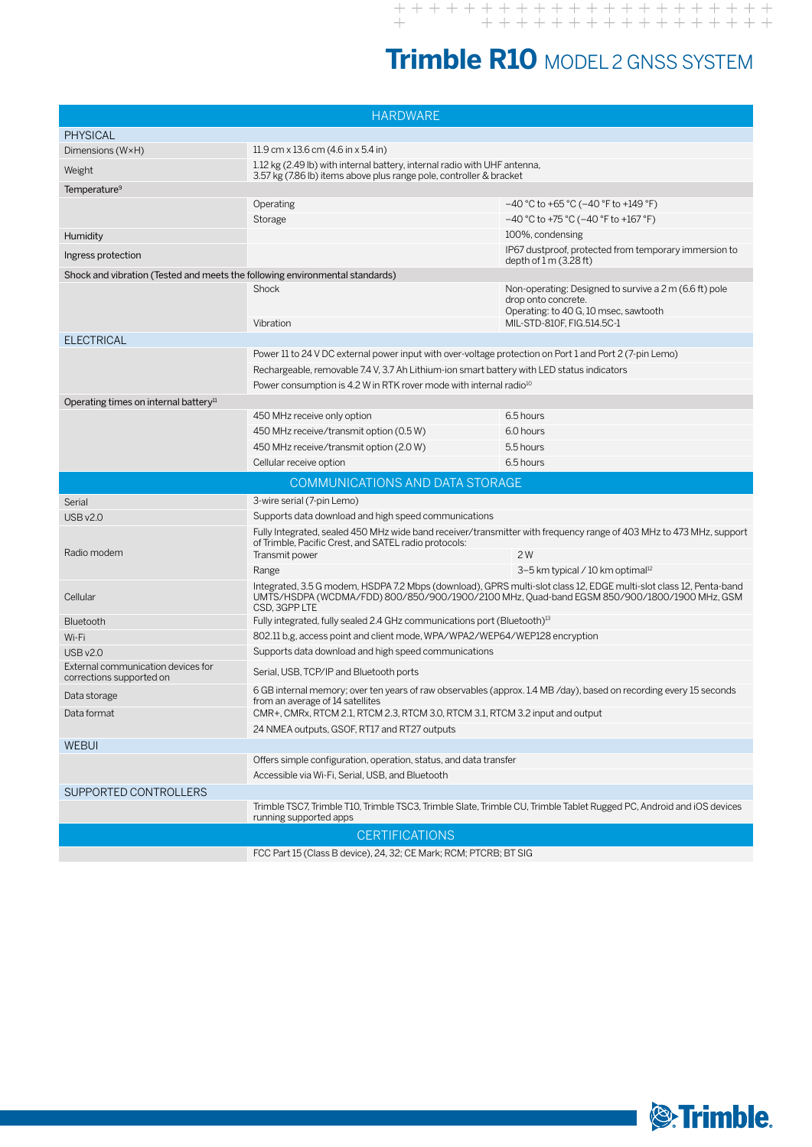## **Trimble R10** MODEL 2 GNSS SYSTEM

| <b>HARDWARE</b>                                                                                                                                 |                                                                                                                                                                                                                   |                                                                                                                        |  |
|-------------------------------------------------------------------------------------------------------------------------------------------------|-------------------------------------------------------------------------------------------------------------------------------------------------------------------------------------------------------------------|------------------------------------------------------------------------------------------------------------------------|--|
| <b>PHYSICAL</b>                                                                                                                                 |                                                                                                                                                                                                                   |                                                                                                                        |  |
| Dimensions (W×H)                                                                                                                                | 11.9 cm x 13.6 cm $(4.6 \text{ in x } 5.4 \text{ in})$                                                                                                                                                            |                                                                                                                        |  |
| Weight                                                                                                                                          | 1.12 kg (2.49 lb) with internal battery, internal radio with UHF antenna,<br>3.57 kg (7.86 lb) items above plus range pole, controller & bracket                                                                  |                                                                                                                        |  |
| Temperature <sup>9</sup>                                                                                                                        |                                                                                                                                                                                                                   |                                                                                                                        |  |
|                                                                                                                                                 | Operating                                                                                                                                                                                                         | $-40$ °C to +65 °C ( $-40$ °F to +149 °F)                                                                              |  |
|                                                                                                                                                 | Storage                                                                                                                                                                                                           | $-40$ °C to +75 °C ( $-40$ °F to +167 °F)                                                                              |  |
| Humidity                                                                                                                                        |                                                                                                                                                                                                                   | 100%, condensing                                                                                                       |  |
| Ingress protection                                                                                                                              |                                                                                                                                                                                                                   | IP67 dustproof, protected from temporary immersion to<br>depth of $1 \text{ m}$ (3.28 ft)                              |  |
| Shock and vibration (Tested and meets the following environmental standards)                                                                    |                                                                                                                                                                                                                   |                                                                                                                        |  |
|                                                                                                                                                 | Shock                                                                                                                                                                                                             | Non-operating: Designed to survive a 2 m (6.6 ft) pole<br>drop onto concrete.<br>Operating: to 40 G, 10 msec, sawtooth |  |
|                                                                                                                                                 | Vibration                                                                                                                                                                                                         | MIL-STD-810F, FIG.514.5C-1                                                                                             |  |
| <b>ELECTRICAL</b>                                                                                                                               |                                                                                                                                                                                                                   |                                                                                                                        |  |
|                                                                                                                                                 | Power 11 to 24 V DC external power input with over-voltage protection on Port 1 and Port 2 (7-pin Lemo)                                                                                                           |                                                                                                                        |  |
|                                                                                                                                                 | Rechargeable, removable 7.4 V, 3.7 Ah Lithium-ion smart battery with LED status indicators                                                                                                                        |                                                                                                                        |  |
|                                                                                                                                                 | Power consumption is 4.2 W in RTK rover mode with internal radio <sup>10</sup>                                                                                                                                    |                                                                                                                        |  |
| Operating times on internal battery <sup>11</sup>                                                                                               |                                                                                                                                                                                                                   |                                                                                                                        |  |
|                                                                                                                                                 | 450 MHz receive only option                                                                                                                                                                                       | 6.5 hours                                                                                                              |  |
|                                                                                                                                                 | 450 MHz receive/transmit option (0.5 W)                                                                                                                                                                           | 6.0 hours<br>5.5 hours                                                                                                 |  |
|                                                                                                                                                 | 450 MHz receive/transmit option (2.0 W)<br>Cellular receive option                                                                                                                                                | 6.5 hours                                                                                                              |  |
|                                                                                                                                                 |                                                                                                                                                                                                                   |                                                                                                                        |  |
|                                                                                                                                                 | COMMUNICATIONS AND DATA STORAGE                                                                                                                                                                                   |                                                                                                                        |  |
| Serial                                                                                                                                          | 3-wire serial (7-pin Lemo)                                                                                                                                                                                        |                                                                                                                        |  |
| <b>USB v2.0</b>                                                                                                                                 | Supports data download and high speed communications<br>Fully Integrated, sealed 450 MHz wide band receiver/transmitter with frequency range of 403 MHz to 473 MHz, support                                       |                                                                                                                        |  |
| Radio modem                                                                                                                                     | of Trimble, Pacific Crest, and SATEL radio protocols:<br>Transmit power                                                                                                                                           | 2W                                                                                                                     |  |
|                                                                                                                                                 | Range                                                                                                                                                                                                             | 3-5 km typical / 10 km optimal <sup>12</sup>                                                                           |  |
| Cellular                                                                                                                                        | Integrated, 3.5 G modem, HSDPA 7.2 Mbps (download), GPRS multi-slot class 12, EDGE multi-slot class 12, Penta-band<br>UMTS/HSDPA (WCDMA/FDD) 800/850/900/1900/2100 MHz, Quad-band EGSM 850/900/1800/1900 MHz, GSM |                                                                                                                        |  |
| Bluetooth                                                                                                                                       | CSD, 3GPP LTE<br>Fully integrated, fully sealed 2.4 GHz communications port (Bluetooth) <sup>13</sup>                                                                                                             |                                                                                                                        |  |
| Wi-Fi                                                                                                                                           | 802.11 b,g, access point and client mode, WPA/WPA2/WEP64/WEP128 encryption                                                                                                                                        |                                                                                                                        |  |
| <b>USB v2.0</b>                                                                                                                                 | Supports data download and high speed communications                                                                                                                                                              |                                                                                                                        |  |
| External communication devices for<br>corrections supported on                                                                                  | Serial, USB, TCP/IP and Bluetooth ports                                                                                                                                                                           |                                                                                                                        |  |
| Data storage                                                                                                                                    | 6 GB internal memory; over ten years of raw observables (approx. 1.4 MB/day), based on recording every 15 seconds<br>from an average of 14 satellites                                                             |                                                                                                                        |  |
| Data format                                                                                                                                     | CMR+, CMRx, RTCM 2.1, RTCM 2.3, RTCM 3.0, RTCM 3.1, RTCM 3.2 input and output                                                                                                                                     |                                                                                                                        |  |
|                                                                                                                                                 | 24 NMEA outputs, GSOF, RT17 and RT27 outputs                                                                                                                                                                      |                                                                                                                        |  |
| <b>WEBUI</b>                                                                                                                                    |                                                                                                                                                                                                                   |                                                                                                                        |  |
|                                                                                                                                                 | Offers simple configuration, operation, status, and data transfer<br>Accessible via Wi-Fi, Serial, USB, and Bluetooth                                                                                             |                                                                                                                        |  |
| SUPPORTED CONTROLLERS                                                                                                                           |                                                                                                                                                                                                                   |                                                                                                                        |  |
| Trimble TSC7, Trimble T10, Trimble TSC3, Trimble Slate, Trimble CU, Trimble Tablet Rugged PC, Android and iOS devices<br>running supported apps |                                                                                                                                                                                                                   |                                                                                                                        |  |
| <b>CERTIFICATIONS</b>                                                                                                                           |                                                                                                                                                                                                                   |                                                                                                                        |  |
| FCC Part 15 (Class B device), 24, 32; CE Mark; RCM; PTCRB; BT SIG                                                                               |                                                                                                                                                                                                                   |                                                                                                                        |  |